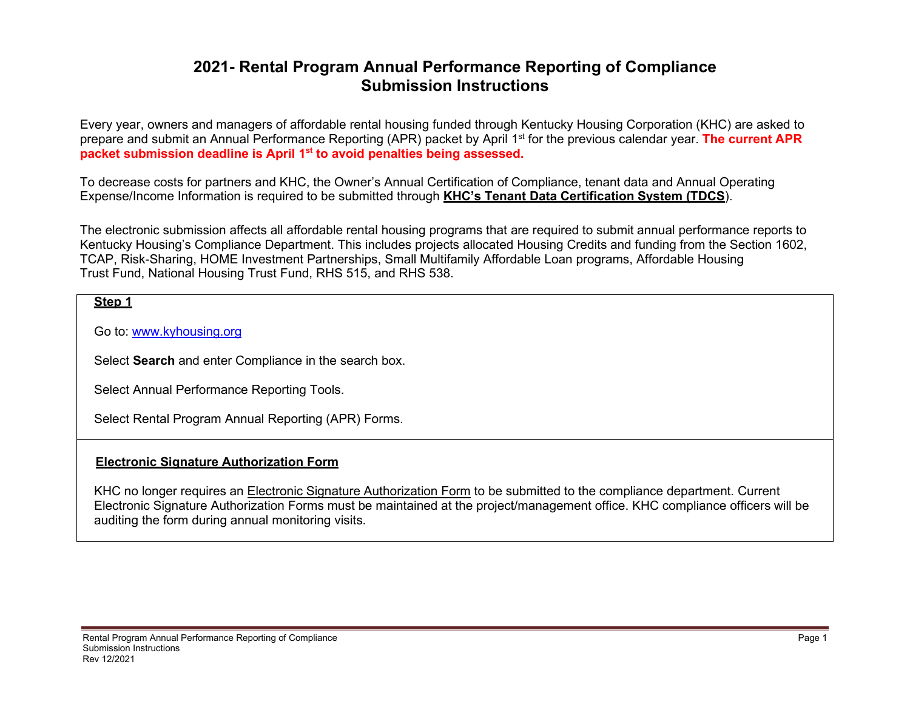# **2021- Rental Program Annual Performance Reporting of Compliance Submission Instructions**

Every year, owners and managers of affordable rental housing funded through Kentucky Housing Corporation (KHC) are asked to prepare and submit an Annual Performance Reporting (APR) packet by April 1st for the previous calendar year. **The current APR packet submission deadline is April 1st to avoid penalties being assessed.**

To decrease costs for partners and KHC, the Owner's Annual Certification of Compliance, tenant data and Annual Operating Expense/Income Information is required to be submitted through **KHC's Tenant Data Certification System (TDCS**).

The electronic submission affects all affordable rental housing programs that are required to submit annual performance reports to Kentucky Housing's Compliance Department. This includes projects allocated Housing Credits and funding from the Section 1602, TCAP, Risk-Sharing, HOME Investment Partnerships, Small Multifamily Affordable Loan programs, Affordable Housing Trust Fund, National Housing Trust Fund, RHS 515, and RHS 538.

#### **Step 1**

Go to: [www.kyhousing.org](http://www.kyhousing.org/)

Select **Search** and enter Compliance in the search box.

Select Annual Performance Reporting Tools.

Select Rental Program Annual Reporting (APR) Forms.

#### **Electronic Signature Authorization Form**

KHC no longer requires an Electronic Signature Authorization Form to be submitted to the compliance department. Current Electronic Signature Authorization Forms must be maintained at the project/management office. KHC compliance officers will be auditing the form during annual monitoring visits.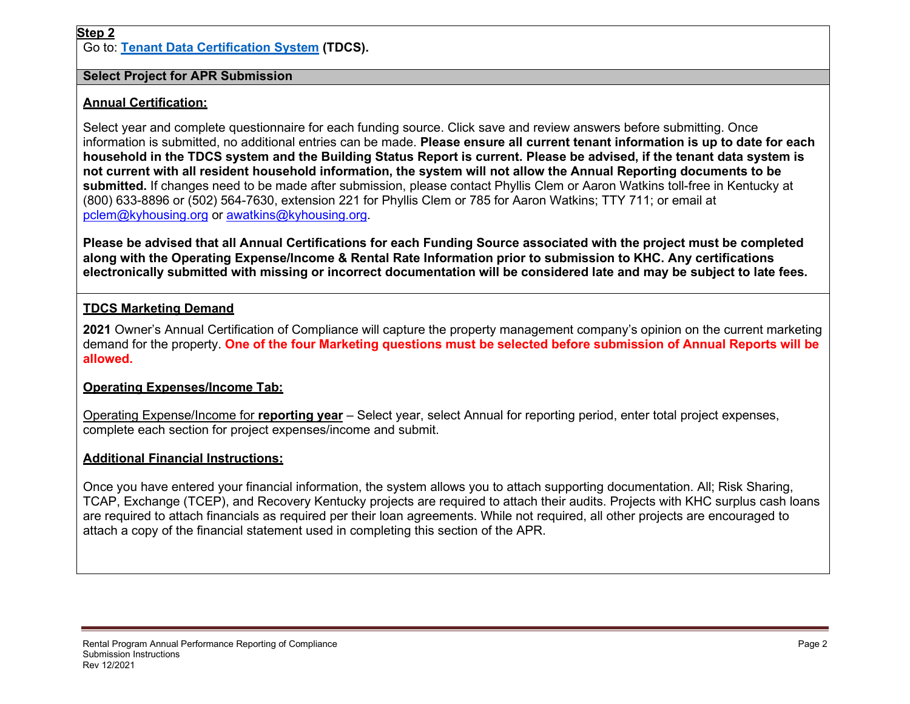Go to: **[Tenant Data Certification System](https://wapps.kyhousing.org/TDCS/Default.aspx) (TDCS).**

#### **Select Project for APR Submission**

# **Annual Certification:**

Select year and complete questionnaire for each funding source. Click save and review answers before submitting. Once information is submitted, no additional entries can be made. **Please ensure all current tenant information is up to date for each household in the TDCS system and the Building Status Report is current. Please be advised, if the tenant data system is not current with all resident household information, the system will not allow the Annual Reporting documents to be submitted.** If changes need to be made after submission, please contact Phyllis Clem or Aaron Watkins toll-free in Kentucky at (800) 633-8896 or (502) 564-7630, extension 221 for Phyllis Clem or 785 for Aaron Watkins; TTY 711; or email at [pclem@kyhousing.org](mailto:pclem@kyhousing.org) or [awatkins@kyhousing.org.](mailto:awatkins@kyhousing.org)

**Please be advised that all Annual Certifications for each Funding Source associated with the project must be completed along with the Operating Expense/Income & Rental Rate Information prior to submission to KHC. Any certifications electronically submitted with missing or incorrect documentation will be considered late and may be subject to late fees.**

## **TDCS Marketing Demand**

**2021** Owner's Annual Certification of Compliance will capture the property management company's opinion on the current marketing demand for the property. **One of the four Marketing questions must be selected before submission of Annual Reports will be allowed.**

### **Operating Expenses/Income Tab:**

Operating Expense/Income for **reporting year** – Select year, select Annual for reporting period, enter total project expenses, complete each section for project expenses/income and submit.

### **Additional Financial Instructions:**

Once you have entered your financial information, the system allows you to attach supporting documentation. All; Risk Sharing, TCAP, Exchange (TCEP), and Recovery Kentucky projects are required to attach their audits. Projects with KHC surplus cash loans are required to attach financials as required per their loan agreements. While not required, all other projects are encouraged to attach a copy of the financial statement used in completing this section of the APR.